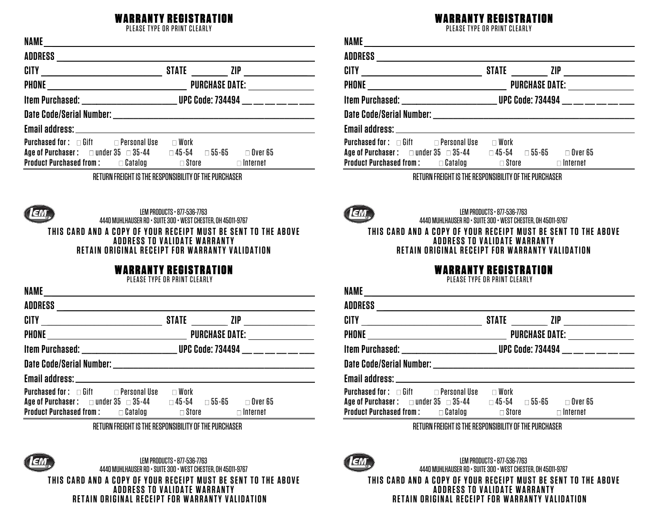## ITY REGISTRATION

PLEASE TYPE OR PRINT CLEARLY

| NAME                                                                                                                                                 |                                                                              |                                   |  |
|------------------------------------------------------------------------------------------------------------------------------------------------------|------------------------------------------------------------------------------|-----------------------------------|--|
| <b>ADDRESS</b>                                                                                                                                       |                                                                              |                                   |  |
|                                                                                                                                                      |                                                                              |                                   |  |
|                                                                                                                                                      |                                                                              |                                   |  |
|                                                                                                                                                      | Item Purchased: _________________________ UPC Code: 734494 __ __ __ __ __ __ |                                   |  |
|                                                                                                                                                      |                                                                              |                                   |  |
|                                                                                                                                                      |                                                                              |                                   |  |
| <b>Purchased for:</b> $\Box$ Gift $\Box$ Personal Use<br>Age of Purchaser : $\Box$ under 35 $\Box$ 35-44<br><b>Product Purchased from:</b> a Catalog | $\square$ Work<br>$\square$ 45-54 $\square$ 55-65<br>$\Box$ Store            | $\Box$ Over 65<br>$\Box$ Internet |  |

RETURN FREIGHT IS THE RESPONSIBILITY OF THE PURCHASER



LEM PRODUCTS • 877-536-7763 4440 MUHLHAUSER RD • SUITE 300 • WEST CHESTER, OH 45011-9767 **THIS CARD AND A COPY OF YOUR RECEIPT MUST BE SENT TO THE ABOVE ADDRESS TO VALIDATE WARRANTY RETAIN ORIGINAL RECEIPT FOR WARRANTY VALIDATION**

## WARRANTY REGISTRATION

PLEASE TYPE OR PRINT CLEARLY

| <b>NAME</b>                                      | the contract of the contract of the contract of the contract of the contract of the contract of the contract of |  |  |
|--------------------------------------------------|-----------------------------------------------------------------------------------------------------------------|--|--|
|                                                  |                                                                                                                 |  |  |
| CITY __________________________                  | STATE _________ ZIP _______________                                                                             |  |  |
|                                                  |                                                                                                                 |  |  |
|                                                  | Item Purchased: ___________________________________ UPC Code: 734494 ___ __ ___ ___ ___                         |  |  |
|                                                  |                                                                                                                 |  |  |
|                                                  |                                                                                                                 |  |  |
| <b>Purchased for :</b> $□$ Gift $□$ Personal Use | $\square$ Work                                                                                                  |  |  |
|                                                  | $\Box$ Over 65                                                                                                  |  |  |
| <b>Product Purchased from : □ Catalog</b>        | $\Box$ Store<br>$\Box$ Internet                                                                                 |  |  |

RETURN FREIGHT IS THE RESPONSIBILITY OF THE PURCHASER



LEM PRODUCTS • 877-536-7763 4440 MUHLHAUSER RD • SUITE 300 • WEST CHESTER, OH 45011-9767 **THIS CARD AND A COPY OF YOUR RECEIPT MUST BE SENT TO THE ABOVE ADDRESS TO VALIDATE WARRANTY RETAIN ORIGINAL RECEIPT FOR WARRANTY VALIDATION**

## WARRANTY REGISTRATION

PLEASE TYPE OR PRINT CLEARLY

| <b>NAME</b><br><u> 1989 - Johann John Stone, markin film yn y brening yn y brening yn y brening y brening yn y brening yn y bre</u> |                                                                            |  |  |  |  |
|-------------------------------------------------------------------------------------------------------------------------------------|----------------------------------------------------------------------------|--|--|--|--|
|                                                                                                                                     |                                                                            |  |  |  |  |
| CITY ___________________________                                                                                                    |                                                                            |  |  |  |  |
|                                                                                                                                     |                                                                            |  |  |  |  |
|                                                                                                                                     | Item Purchased: _______________________ UPC Code: 734494 __ __ __ __ __ __ |  |  |  |  |
|                                                                                                                                     |                                                                            |  |  |  |  |
|                                                                                                                                     |                                                                            |  |  |  |  |
| <b>Purchased for:</b> $\Box$ Gift $\Box$ Personal Use $\Box$ Work                                                                   |                                                                            |  |  |  |  |
| Age of Purchaser: cander 35 c 35-44 c 45-54 c 55-65 c 0ver 65                                                                       |                                                                            |  |  |  |  |
| <b>Product Purchased from : <math>\Box</math> Catalog <math>\Box</math></b> Store $\Box$ Internet                                   |                                                                            |  |  |  |  |
| DETHON EDEICUT IC TUE DECONNOIDII ITV AE TUE DHOPUACED                                                                              |                                                                            |  |  |  |  |

RETURN FREIGHT IS THE RESPONSIBILITY OF THE PURCHASER



LEM PRODUCTS • 877-536-7763 4440 MUHLHAUSER RD • SUITE 300 • WEST CHESTER, OH 45011-9767

**THIS CARD AND A COPY OF YOUR RECEIPT MUST BE SENT TO THE ABOVE ADDRESS TO VALIDATE WARRANTY RETAIN ORIGINAL RECEIPT FOR WARRANTY VALIDATION**

## WARRANTY REGISTRATION

PLEASE TYPE OR PRINT CLEARLY

| NAME<br><u> 1989 - Johann John Stone, markin sanadi a shekara 1989 - An an tsarani a shekara 1989 - An an tsara</u>                                                                                                 |                                                                           |  |  |
|---------------------------------------------------------------------------------------------------------------------------------------------------------------------------------------------------------------------|---------------------------------------------------------------------------|--|--|
|                                                                                                                                                                                                                     |                                                                           |  |  |
|                                                                                                                                                                                                                     |                                                                           |  |  |
|                                                                                                                                                                                                                     |                                                                           |  |  |
|                                                                                                                                                                                                                     | ltem Purchased: _______________________UPC Code: 734494 __ __ __ __ __ __ |  |  |
|                                                                                                                                                                                                                     |                                                                           |  |  |
|                                                                                                                                                                                                                     |                                                                           |  |  |
| <b>Purchased for :</b> $\Box$ Gift $\Box$ Personal Use $\Box$ Work<br>Age of Purchaser: c under 35 c 35-44 c 45-54 c 55-65 c 0ver 65<br><b>Product Purchased from :</b> $\Box$ Catalog $\Box$ Store $\Box$ Internet |                                                                           |  |  |
|                                                                                                                                                                                                                     | RETURN ERFIGHT IS THE RESPONSIBILITY OF THE PURCHASER                     |  |  |

RETURN FREIGHT IS THE RESPONSIBILITY OF THE PURCHASER



LEM PRODUCTS • 877-536-7763 4440 MUHLHAUSER RD • SUITE 300 • WEST CHESTER, OH 45011-9767 **THIS CARD AND A COPY OF YOUR RECEIPT MUST BE SENT TO THE ABOVE**

**ADDRESS TO VALIDATE WARRANTY RETAIN ORIGINAL RECEIPT FOR WARRANTY VALIDATION**